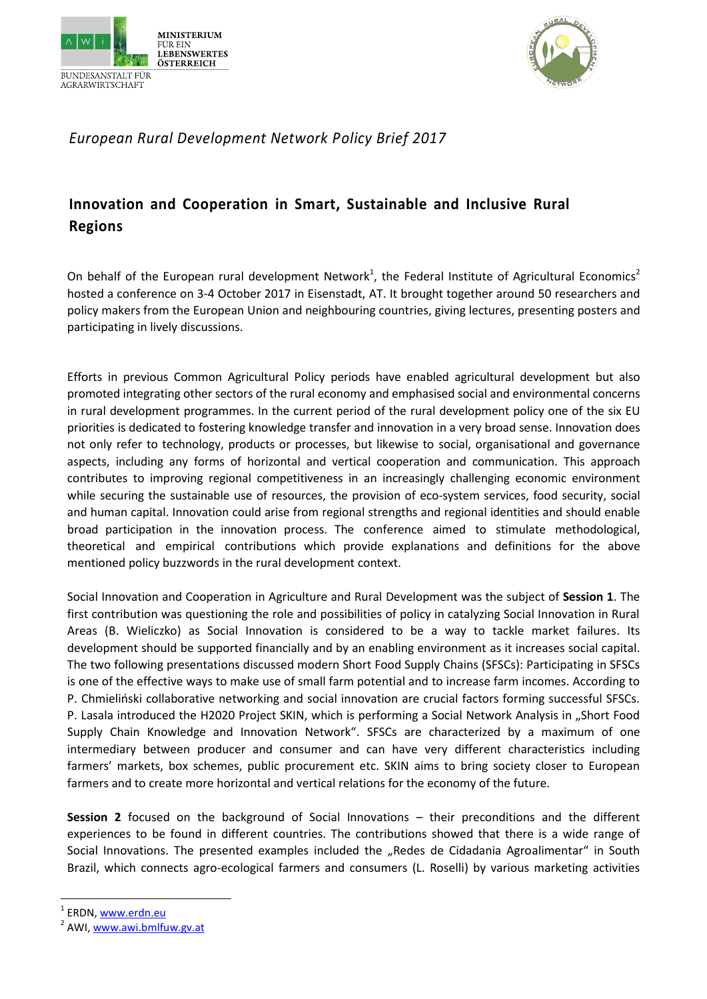



## *European Rural Development Network Policy Brief 2017*

## **Innovation and Cooperation in Smart, Sustainable and Inclusive Rural Regions**

On behalf of the European rural development Network<sup>1</sup>, the Federal Institute of Agricultural Economics<sup>2</sup> hosted a conference on 3-4 October 2017 in Eisenstadt, AT. It brought together around 50 researchers and policy makers from the European Union and neighbouring countries, giving lectures, presenting posters and participating in lively discussions.

Efforts in previous Common Agricultural Policy periods have enabled agricultural development but also promoted integrating other sectors of the rural economy and emphasised social and environmental concerns in rural development programmes. In the current period of the rural development policy one of the six EU priorities is dedicated to fostering knowledge transfer and innovation in a very broad sense. Innovation does not only refer to technology, products or processes, but likewise to social, organisational and governance aspects, including any forms of horizontal and vertical cooperation and communication. This approach contributes to improving regional competitiveness in an increasingly challenging economic environment while securing the sustainable use of resources, the provision of eco-system services, food security, social and human capital. Innovation could arise from regional strengths and regional identities and should enable broad participation in the innovation process. The conference aimed to stimulate methodological, theoretical and empirical contributions which provide explanations and definitions for the above mentioned policy buzzwords in the rural development context.

Social Innovation and Cooperation in Agriculture and Rural Development was the subject of **Session 1**. The first contribution was questioning the role and possibilities of policy in catalyzing Social Innovation in Rural Areas (B. Wieliczko) as Social Innovation is considered to be a way to tackle market failures. Its development should be supported financially and by an enabling environment as it increases social capital. The two following presentations discussed modern Short Food Supply Chains (SFSCs): Participating in SFSCs is one of the effective ways to make use of small farm potential and to increase farm incomes. According to P. Chmieliński collaborative networking and social innovation are crucial factors forming successful SFSCs. P. Lasala introduced the H2020 Project SKIN, which is performing a Social Network Analysis in "Short Food Supply Chain Knowledge and Innovation Network". SFSCs are characterized by a maximum of one intermediary between producer and consumer and can have very different characteristics including farmers' markets, box schemes, public procurement etc. SKIN aims to bring society closer to European farmers and to create more horizontal and vertical relations for the economy of the future.

**Session 2** focused on the background of Social Innovations – their preconditions and the different experiences to be found in different countries. The contributions showed that there is a wide range of Social Innovations. The presented examples included the "Redes de Cidadania Agroalimentar" in South Brazil, which connects agro-ecological farmers and consumers (L. Roselli) by various marketing activities

**.** 

 $^{\rm 1}$  ERDN, <u>www.erdn.eu</u>

<sup>2</sup> AWI[, www.awi.bmlfuw.gv.at](http://www.awi.bmlfuw.gv.at/)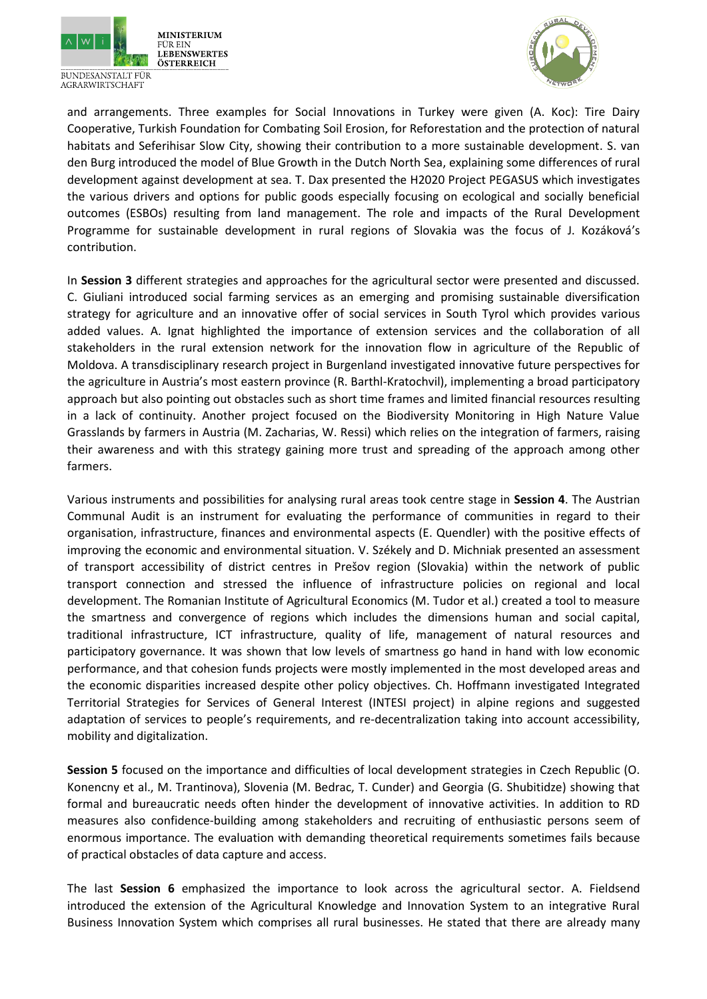



and arrangements. Three examples for Social Innovations in Turkey were given (A. Koc): Tire Dairy Cooperative, Turkish Foundation for Combating Soil Erosion, for Reforestation and the protection of natural habitats and Seferihisar Slow City, showing their contribution to a more sustainable development. S. van den Burg introduced the model of Blue Growth in the Dutch North Sea, explaining some differences of rural development against development at sea. T. Dax presented the H2020 Project PEGASUS which investigates the various drivers and options for public goods especially focusing on ecological and socially beneficial outcomes (ESBOs) resulting from land management. The role and impacts of the Rural Development Programme for sustainable development in rural regions of Slovakia was the focus of J. Kozáková's contribution.

In **Session 3** different strategies and approaches for the agricultural sector were presented and discussed. C. Giuliani introduced social farming services as an emerging and promising sustainable diversification strategy for agriculture and an innovative offer of social services in South Tyrol which provides various added values. A. Ignat highlighted the importance of extension services and the collaboration of all stakeholders in the rural extension network for the innovation flow in agriculture of the Republic of Moldova. A transdisciplinary research project in Burgenland investigated innovative future perspectives for the agriculture in Austria's most eastern province (R. Barthl-Kratochvil), implementing a broad participatory approach but also pointing out obstacles such as short time frames and limited financial resources resulting in a lack of continuity. Another project focused on the Biodiversity Monitoring in High Nature Value Grasslands by farmers in Austria (M. Zacharias, W. Ressi) which relies on the integration of farmers, raising their awareness and with this strategy gaining more trust and spreading of the approach among other farmers.

Various instruments and possibilities for analysing rural areas took centre stage in **Session 4**. The Austrian Communal Audit is an instrument for evaluating the performance of communities in regard to their organisation, infrastructure, finances and environmental aspects (E. Quendler) with the positive effects of improving the economic and environmental situation. V. Székely and D. Michniak presented an assessment of transport accessibility of district centres in Prešov region (Slovakia) within the network of public transport connection and stressed the influence of infrastructure policies on regional and local development. The Romanian Institute of Agricultural Economics (M. Tudor et al.) created a tool to measure the smartness and convergence of regions which includes the dimensions human and social capital, traditional infrastructure, ICT infrastructure, quality of life, management of natural resources and participatory governance. It was shown that low levels of smartness go hand in hand with low economic performance, and that cohesion funds projects were mostly implemented in the most developed areas and the economic disparities increased despite other policy objectives. Ch. Hoffmann investigated Integrated Territorial Strategies for Services of General Interest (INTESI project) in alpine regions and suggested adaptation of services to people's requirements, and re-decentralization taking into account accessibility, mobility and digitalization.

**Session 5** focused on the importance and difficulties of local development strategies in Czech Republic (O. Konencny et al., M. Trantinova), Slovenia (M. Bedrac, T. Cunder) and Georgia (G. Shubitidze) showing that formal and bureaucratic needs often hinder the development of innovative activities. In addition to RD measures also confidence-building among stakeholders and recruiting of enthusiastic persons seem of enormous importance. The evaluation with demanding theoretical requirements sometimes fails because of practical obstacles of data capture and access.

The last **Session 6** emphasized the importance to look across the agricultural sector. A. Fieldsend introduced the extension of the Agricultural Knowledge and Innovation System to an integrative Rural Business Innovation System which comprises all rural businesses. He stated that there are already many